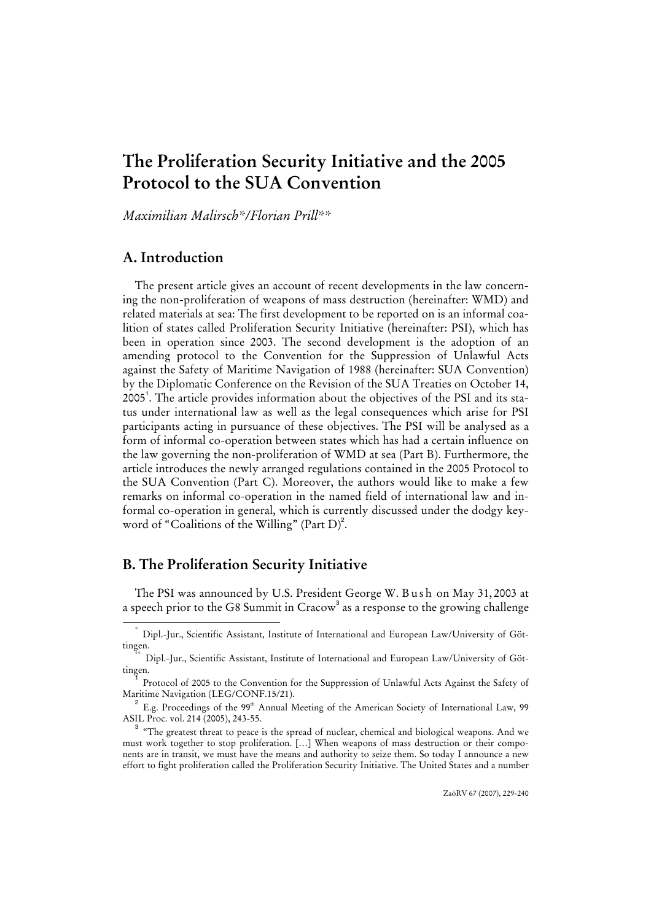# **The Proliferation Security Initiative and the 2005 Protocol to the SUA Convention**

*Maximilian Malirsch\*/Florian Prill\*\** 

# **A. Introduction**

The present article gives an account of recent developments in the law concerning the non-proliferation of weapons of mass destruction (hereinafter: WMD) and related materials at sea: The first development to be reported on is an informal coalition of states called Proliferation Security Initiative (hereinafter: PSI), which has been in operation since 2003. The second development is the adoption of an amending protocol to the Convention for the Suppression of Unlawful Acts against the Safety of Maritime Navigation of 1988 (hereinafter: SUA Convention) by the Diplomatic Conference on the Revision of the SUA Treaties on October 14, 2005<sup>1</sup>. The article provides information about the objectives of the PSI and its status under international law as well as the legal consequences which arise for PSI participants acting in pursuance of these objectives. The PSI will be analysed as a form of informal co-operation between states which has had a certain influence on the law governing the non-proliferation of WMD at sea (Part B). Furthermore, the article introduces the newly arranged regulations contained in the 2005 Protocol to the SUA Convention (Part C). Moreover, the authors would like to make a few remarks on informal co-operation in the named field of international law and informal co-operation in general, which is currently discussed under the dodgy keyword of "Coalitions of the Willing" (Part  $D$ )<sup>2</sup>.

# **B. The Proliferation Security Initiative**

The PSI was announced by U.S. President George W. Bush on May 31, 2003 at a speech prior to the G8 Summit in  $C$ raco $\mathrm{w}^3$  as a response to the growing challenge

 <sup>\*</sup> Dipl.-Jur., Scientific Assistant, Institute of International and European Law/University of Göttingen.<br>\*\* Dipl.-Jur., Scientific Assistant, Institute of International and European Law/University of Göt-

tingen.<br>T

Protocol of 2005 to the Convention for the Suppression of Unlawful Acts Against the Safety of Maritime Navigation (LEG/CONF.15/21).

<sup>&</sup>lt;sup>2</sup> E.g. Proceedings of the 99<sup>th</sup> Annual Meeting of the American Society of International Law, 99 ASIL Proc. vol. 214 (2005), 243-55.

 $^3$  "The greatest threat to peace is the spread of nuclear, chemical and biological weapons. And we must work together to stop proliferation. […] When weapons of mass destruction or their components are in transit, we must have the means and authority to seize them. So today I announce a new effort to fight proliferation called the Proliferation Security Initiative. The United States and a number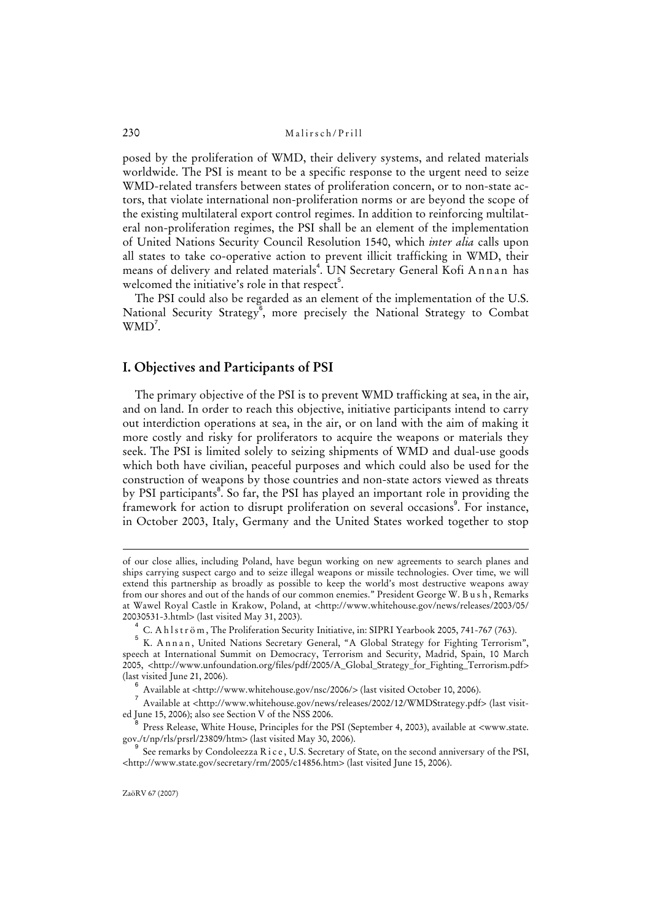posed by the proliferation of WMD, their delivery systems, and related materials worldwide. The PSI is meant to be a specific response to the urgent need to seize WMD-related transfers between states of proliferation concern, or to non-state actors, that violate international non-proliferation norms or are beyond the scope of the existing multilateral export control regimes. In addition to reinforcing multilateral non-proliferation regimes, the PSI shall be an element of the implementation of United Nations Security Council Resolution 1540, which *inter alia* calls upon all states to take co-operative action to prevent illicit trafficking in WMD, their means of delivery and related materials<sup>4</sup>. UN Secretary General Kofi Annan has welcomed the initiative's role in that respect<sup>5</sup>.

The PSI could also be regarded as an element of the implementation of the U.S. National Security Strategy<sup>6</sup>, more precisely the National Strategy to Combat  $WMD<sup>7</sup>$ .

### **I. Objectives and Participants of PSI**

The primary objective of the PSI is to prevent WMD trafficking at sea, in the air, and on land. In order to reach this objective, initiative participants intend to carry out interdiction operations at sea, in the air, or on land with the aim of making it more costly and risky for proliferators to acquire the weapons or materials they seek. The PSI is limited solely to seizing shipments of WMD and dual-use goods which both have civilian, peaceful purposes and which could also be used for the construction of weapons by those countries and non-state actors viewed as threats by PSI participants<sup>8</sup>. So far, the PSI has played an important role in providing the framework for action to disrupt proliferation on several occasions<sup>9</sup>. For instance, in October 2003, Italy, Germany and the United States worked together to stop

j

of our close allies, including Poland, have begun working on new agreements to search planes and ships carrying suspect cargo and to seize illegal weapons or missile technologies. Over time, we will extend this partnership as broadly as possible to keep the world's most destructive weapons away from our shores and out of the hands of our common enemies." President George W. Bush, Remarks at Wawel Royal Castle in Krakow, Poland, at <http://www.whitehouse.gov/news/releases/2003/05/ 20030531-3.html> (last visited May 31, 2003).

<sup>&</sup>lt;sup>4</sup> C. A h l s t r ö m , The Proliferation Security Initiative, in: SIPRI Yearbook 2005, 741-767 (763).

<sup>&</sup>lt;sup>5</sup> K. Annan, United Nations Secretary General, "A Global Strategy for Fighting Terrorism", speech at International Summit on Democracy, Terrorism and Security, Madrid, Spain, 10 March 2005, <http://www.unfoundation.org/files/pdf/2005/A\_Global\_Strategy\_for\_Fighting\_Terrorism.pdf> (last visited June 21, 2006).

<sup>6</sup> Available at <http://www.whitehouse.gov/nsc/2006/> (last visited October 10, 2006).

 $^7$  Available at <http://www.whitehouse.gov/news/releases/2002/12/WMDStrategy.pdf> (last visited June 15, 2006); also see Section V of the NSS 2006.

<sup>8</sup> Press Release, White House, Principles for the PSI (September 4, 2003), available at <www.state. gov./t/np/rls/prsrl/23809/htm> (last visited May 30, 2006).

<sup>9</sup> See remarks by Condoleezza Rice, U.S. Secretary of State, on the second anniversary of the PSI, <http://www.state.gov/secretary/rm/2005/c14856.htm> (last visited June 15, 2006).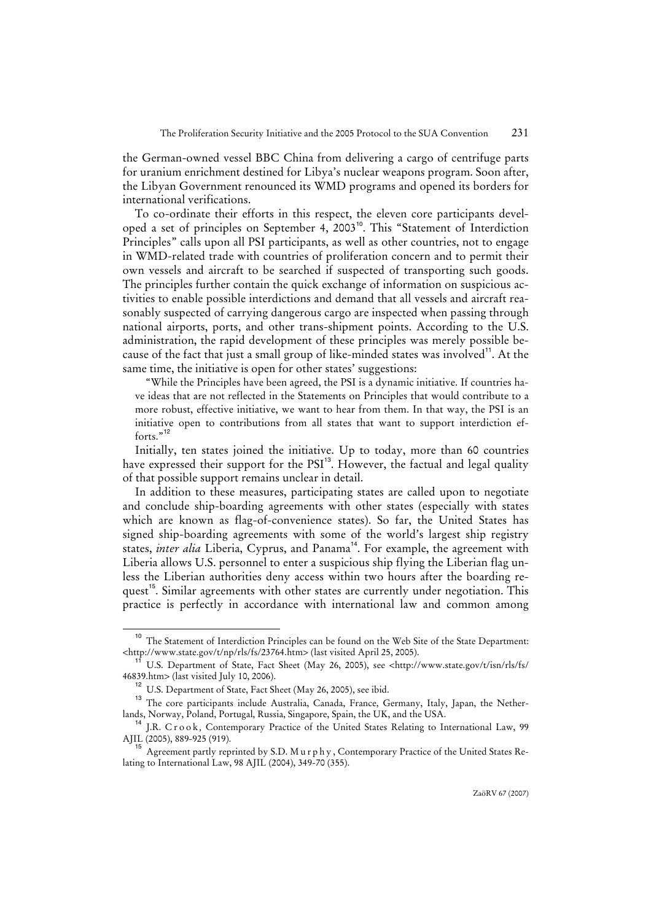the German-owned vessel BBC China from delivering a cargo of centrifuge parts for uranium enrichment destined for Libya's nuclear weapons program. Soon after, the Libyan Government renounced its WMD programs and opened its borders for international verifications.

To co-ordinate their efforts in this respect, the eleven core participants developed a set of principles on September 4, 2003<sup>10</sup>. This "Statement of Interdiction Principles" calls upon all PSI participants, as well as other countries, not to engage in WMD-related trade with countries of proliferation concern and to permit their own vessels and aircraft to be searched if suspected of transporting such goods. The principles further contain the quick exchange of information on suspicious activities to enable possible interdictions and demand that all vessels and aircraft reasonably suspected of carrying dangerous cargo are inspected when passing through national airports, ports, and other trans-shipment points. According to the U.S. administration, the rapid development of these principles was merely possible because of the fact that just a small group of like-minded states was involved $1$ . At the same time, the initiative is open for other states' suggestions:

"While the Principles have been agreed, the PSI is a dynamic initiative. If countries have ideas that are not reflected in the Statements on Principles that would contribute to a more robust, effective initiative, we want to hear from them. In that way, the PSI is an initiative open to contributions from all states that want to support interdiction efforts."<sup>12</sup>

Initially, ten states joined the initiative. Up to today, more than 60 countries have expressed their support for the PSI<sup>13</sup>. However, the factual and legal quality of that possible support remains unclear in detail.

In addition to these measures, participating states are called upon to negotiate and conclude ship-boarding agreements with other states (especially with states which are known as flag-of-convenience states). So far, the United States has signed ship-boarding agreements with some of the world's largest ship registry states, *inter alia* Liberia, Cyprus, and Panama<sup>14</sup>. For example, the agreement with Liberia allows U.S. personnel to enter a suspicious ship flying the Liberian flag unless the Liberian authorities deny access within two hours after the boarding request<sup>15</sup>. Similar agreements with other states are currently under negotiation. This practice is perfectly in accordance with international law and common among

<sup>&</sup>lt;sup>10</sup> The Statement of Interdiction Principles can be found on the Web Site of the State Department: <http://www.state.gov/t/np/rls/fs/23764.htm> (last visited April 25, 2005).

<sup>11</sup> U.S. Department of State, Fact Sheet (May 26, 2005), see <http://www.state.gov/t/isn/rls/fs/ 46839.htm> (last visited July 10, 2006).

<sup>&</sup>lt;sup>12</sup> U.S. Department of State, Fact Sheet (May 26, 2005), see ibid.

<sup>&</sup>lt;sup>13</sup> The core participants include Australia, Canada, France, Germany, Italy, Japan, the Netherlands, Norway, Poland, Portugal, Russia, Singapore, Spain, the UK, and the USA.

<sup>&</sup>lt;sup>14</sup> J.R. C r o o k, Contemporary Practice of the United States Relating to International Law, 99 AJIL (2005), 889-925 (919).

<sup>&</sup>lt;sup>15</sup> Agreement partly reprinted by S.D. Murphy, Contemporary Practice of the United States Relating to International Law, 98 AJIL (2004), 349-70 (355).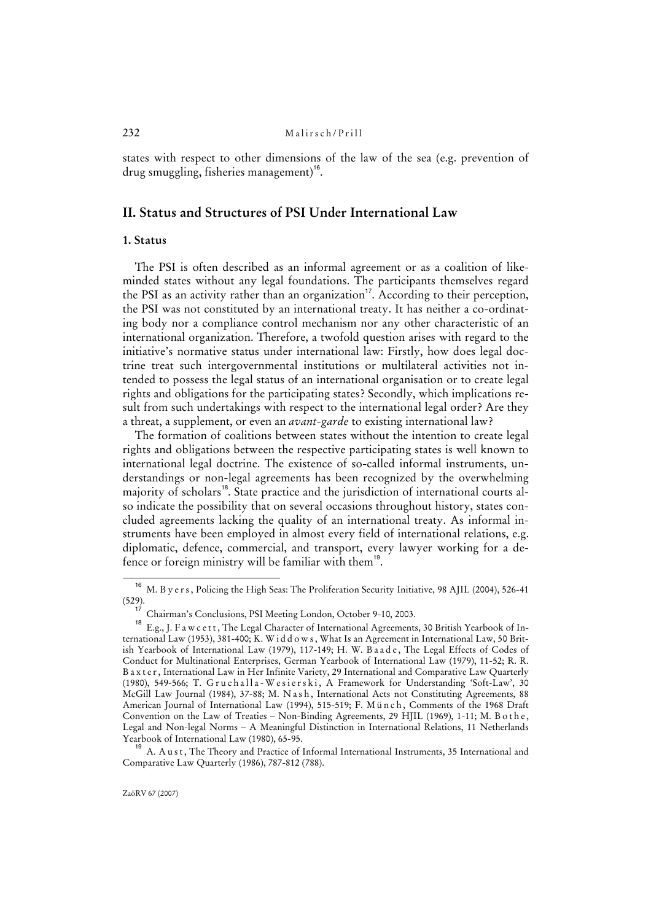states with respect to other dimensions of the law of the sea (e.g. prevention of drug smuggling, fisheries management)<sup>16</sup>.

### **II. Status and Structures of PSI Under International Law**

### **1. Status**

The PSI is often described as an informal agreement or as a coalition of likeminded states without any legal foundations. The participants themselves regard the PSI as an activity rather than an organization<sup>17</sup>. According to their perception, the PSI was not constituted by an international treaty. It has neither a co-ordinating body nor a compliance control mechanism nor any other characteristic of an international organization. Therefore, a twofold question arises with regard to the initiative's normative status under international law: Firstly, how does legal doctrine treat such intergovernmental institutions or multilateral activities not intended to possess the legal status of an international organisation or to create legal rights and obligations for the participating states? Secondly, which implications result from such undertakings with respect to the international legal order? Are they a threat, a supplement, or even an *avant-garde* to existing international law?

The formation of coalitions between states without the intention to create legal rights and obligations between the respective participating states is well known to international legal doctrine. The existence of so-called informal instruments, understandings or non-legal agreements has been recognized by the overwhelming majority of scholars<sup>18</sup>. State practice and the jurisdiction of international courts also indicate the possibility that on several occasions throughout history, states concluded agreements lacking the quality of an international treaty. As informal instruments have been employed in almost every field of international relations, e.g. diplomatic, defence, commercial, and transport, every lawyer working for a defence or foreign ministry will be familiar with them<sup>19</sup>.

<sup>19</sup> A. A u s t, The Theory and Practice of Informal International Instruments, 35 International and Comparative Law Quarterly (1986), 787-812 (788).

<sup>&</sup>lt;sup>16</sup> M. B y e r s, Policing the High Seas: The Proliferation Security Initiative, 98 AJIL (2004), 526-41  $(529)$ .

Chairman's Conclusions, PSI Meeting London, October 9-10, 2003.

<sup>&</sup>lt;sup>18</sup> E.g., J. F a w c ett, The Legal Character of International Agreements, 30 British Yearbook of International Law (1953), 381-400; K. W i d d o w s , What Is an Agreement in International Law, 50 British Yearbook of International Law (1979), 117-149; H. W. B a a d e , The Legal Effects of Codes of Conduct for Multinational Enterprises, German Yearbook of International Law (1979), 11-52; R. R. B a x t e r , International Law in Her Infinite Variety, 29 International and Comparative Law Quarterly (1980), 549-566; T. Gruchalla-Wesierski, A Framework for Understanding 'Soft-Law', 30 McGill Law Journal (1984), 37-88; M. N a s h, International Acts not Constituting Agreements, 88 American Journal of International Law (1994), 515-519; F. Münch, Comments of the 1968 Draft Convention on the Law of Treaties – Non-Binding Agreements, 29 HJIL (1969), 1-11; M. B o the, Legal and Non-legal Norms – A Meaningful Distinction in International Relations, 11 Netherlands Yearbook of International Law (1980), 65-95.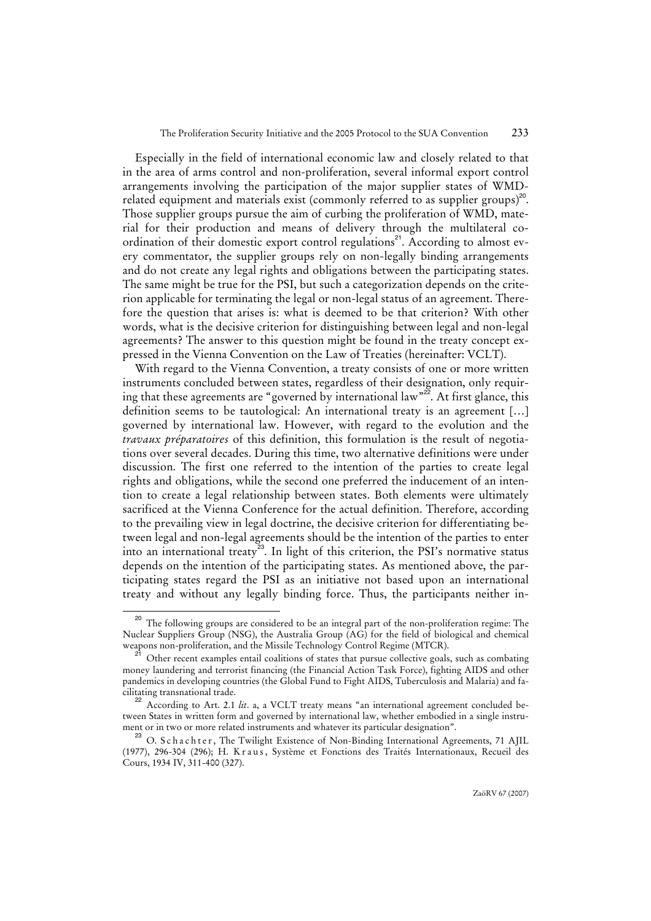Especially in the field of international economic law and closely related to that in the area of arms control and non-proliferation, several informal export control arrangements involving the participation of the major supplier states of WMDrelated equipment and materials exist (commonly referred to as supplier groups) $^{20}$ . Those supplier groups pursue the aim of curbing the proliferation of WMD, material for their production and means of delivery through the multilateral coordination of their domestic export control regulations<sup>21</sup>. According to almost every commentator, the supplier groups rely on non-legally binding arrangements and do not create any legal rights and obligations between the participating states. The same might be true for the PSI, but such a categorization depends on the criterion applicable for terminating the legal or non-legal status of an agreement. Therefore the question that arises is: what is deemed to be that criterion? With other words, what is the decisive criterion for distinguishing between legal and non-legal agreements? The answer to this question might be found in the treaty concept expressed in the Vienna Convention on the Law of Treaties (hereinafter: VCLT).

With regard to the Vienna Convention, a treaty consists of one or more written instruments concluded between states, regardless of their designation, only requiring that these agreements are "governed by international law"<sup>22</sup>. At first glance, this definition seems to be tautological: An international treaty is an agreement […] governed by international law. However, with regard to the evolution and the *travaux préparatoires* of this definition, this formulation is the result of negotiations over several decades. During this time, two alternative definitions were under discussion. The first one referred to the intention of the parties to create legal rights and obligations, while the second one preferred the inducement of an intention to create a legal relationship between states. Both elements were ultimately sacrificed at the Vienna Conference for the actual definition. Therefore, according to the prevailing view in legal doctrine, the decisive criterion for differentiating between legal and non-legal agreements should be the intention of the parties to enter into an international treaty<sup>23</sup>. In light of this criterion, the PSI's normative status depends on the intention of the participating states. As mentioned above, the participating states regard the PSI as an initiative not based upon an international treaty and without any legally binding force. Thus, the participants neither in-

The following groups are considered to be an integral part of the non-proliferation regime: The Nuclear Suppliers Group (NSG), the Australia Group (AG) for the field of biological and chemical weapons non-proliferation, and the Missile Technology Control Regime (MTCR).

Other recent examples entail coalitions of states that pursue collective goals, such as combating money laundering and terrorist financing (the Financial Action Task Force), fighting AIDS and other pandemics in developing countries (the Global Fund to Fight AIDS, Tuberculosis and Malaria) and facilitating transnational trade.

<sup>22</sup> According to Art. 2.1 *lit*. a, a VCLT treaty means "an international agreement concluded between States in written form and governed by international law, whether embodied in a single instrument or in two or more related instruments and whatever its particular designation".

<sup>&</sup>lt;sup>23</sup> O. S c h a c h t e r, The Twilight Existence of Non-Binding International Agreements, 71 AJIL (1977), 296-304 (296); H. Kraus, Système et Fonctions des Traités Internationaux, Recueil des Cours, 1934 IV, 311-400 (327).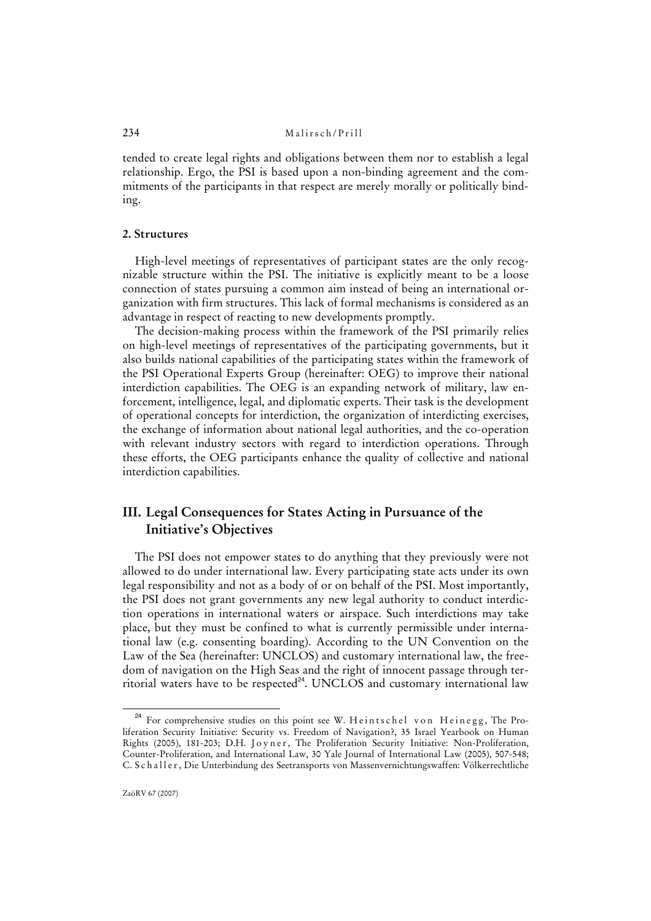tended to create legal rights and obligations between them nor to establish a legal relationship. Ergo, the PSI is based upon a non-binding agreement and the commitments of the participants in that respect are merely morally or politically binding.

### **2. Structures**

High-level meetings of representatives of participant states are the only recognizable structure within the PSI. The initiative is explicitly meant to be a loose connection of states pursuing a common aim instead of being an international organization with firm structures. This lack of formal mechanisms is considered as an advantage in respect of reacting to new developments promptly.

The decision-making process within the framework of the PSI primarily relies on high-level meetings of representatives of the participating governments, but it also builds national capabilities of the participating states within the framework of the PSI Operational Experts Group (hereinafter: OEG) to improve their national interdiction capabilities. The OEG is an expanding network of military, law enforcement, intelligence, legal, and diplomatic experts. Their task is the development of operational concepts for interdiction, the organization of interdicting exercises, the exchange of information about national legal authorities, and the co-operation with relevant industry sectors with regard to interdiction operations. Through these efforts, the OEG participants enhance the quality of collective and national interdiction capabilities.

# **III. Legal Consequences for States Acting in Pursuance of the Initiative's Objectives**

The PSI does not empower states to do anything that they previously were not allowed to do under international law. Every participating state acts under its own legal responsibility and not as a body of or on behalf of the PSI. Most importantly, the PSI does not grant governments any new legal authority to conduct interdiction operations in international waters or airspace. Such interdictions may take place, but they must be confined to what is currently permissible under international law (e.g. consenting boarding). According to the UN Convention on the Law of the Sea (hereinafter: UNCLOS) and customary international law, the freedom of navigation on the High Seas and the right of innocent passage through territorial waters have to be respected<sup>24</sup>. UNCLOS and customary international law

<sup>&</sup>lt;sup>24</sup> For comprehensive studies on this point see W. Heintschel von Heinegg, The Proliferation Security Initiative: Security vs. Freedom of Navigation?, 35 Israel Yearbook on Human Rights (2005), 181-203; D.H. Joyner, The Proliferation Security Initiative: Non-Proliferation, Counter-Proliferation, and International Law, 30 Yale Journal of International Law (2005), 507-548; C. S c h a l l e r , Die Unterbindung des Seetransports von Massenvernichtungswaffen: Völkerrechtliche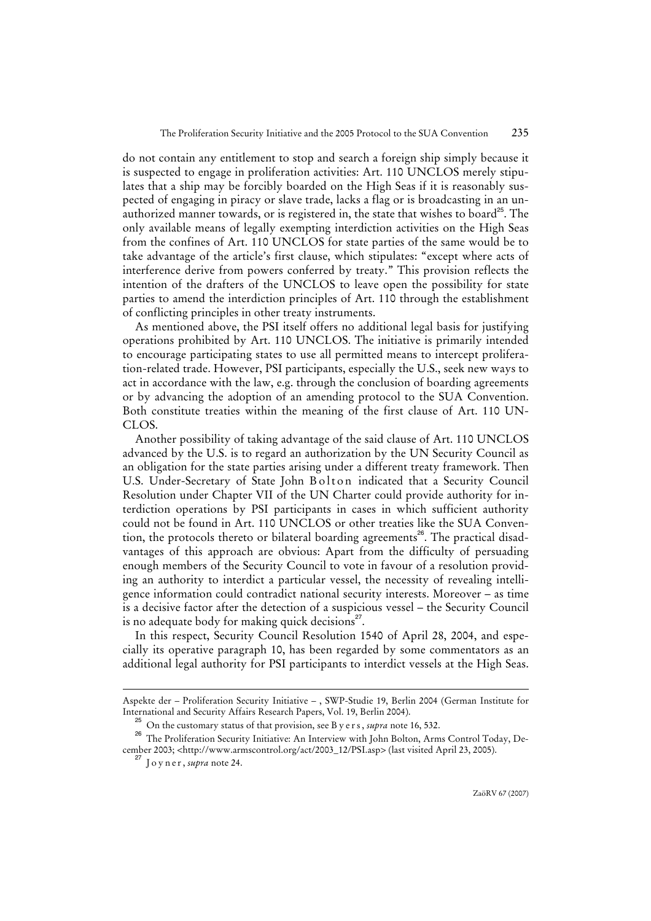do not contain any entitlement to stop and search a foreign ship simply because it is suspected to engage in proliferation activities: Art. 110 UNCLOS merely stipulates that a ship may be forcibly boarded on the High Seas if it is reasonably suspected of engaging in piracy or slave trade, lacks a flag or is broadcasting in an unauthorized manner towards, or is registered in, the state that wishes to board<sup>25</sup>. The only available means of legally exempting interdiction activities on the High Seas from the confines of Art. 110 UNCLOS for state parties of the same would be to take advantage of the article's first clause, which stipulates: "except where acts of interference derive from powers conferred by treaty." This provision reflects the intention of the drafters of the UNCLOS to leave open the possibility for state parties to amend the interdiction principles of Art. 110 through the establishment of conflicting principles in other treaty instruments.

As mentioned above, the PSI itself offers no additional legal basis for justifying operations prohibited by Art. 110 UNCLOS. The initiative is primarily intended to encourage participating states to use all permitted means to intercept proliferation-related trade. However, PSI participants, especially the U.S., seek new ways to act in accordance with the law, e.g. through the conclusion of boarding agreements or by advancing the adoption of an amending protocol to the SUA Convention. Both constitute treaties within the meaning of the first clause of Art. 110 UN-CLOS.

Another possibility of taking advantage of the said clause of Art. 110 UNCLOS advanced by the U.S. is to regard an authorization by the UN Security Council as an obligation for the state parties arising under a different treaty framework. Then U.S. Under-Secretary of State John Bolton indicated that a Security Council Resolution under Chapter VII of the UN Charter could provide authority for interdiction operations by PSI participants in cases in which sufficient authority could not be found in Art. 110 UNCLOS or other treaties like the SUA Convention, the protocols thereto or bilateral boarding agreements<sup>26</sup>. The practical disadvantages of this approach are obvious: Apart from the difficulty of persuading enough members of the Security Council to vote in favour of a resolution providing an authority to interdict a particular vessel, the necessity of revealing intelligence information could contradict national security interests. Moreover – as time is a decisive factor after the detection of a suspicious vessel – the Security Council is no adequate body for making quick decisions<sup>27</sup>.

In this respect, Security Council Resolution 1540 of April 28, 2004, and especially its operative paragraph 10, has been regarded by some commentators as an additional legal authority for PSI participants to interdict vessels at the High Seas.

l

Aspekte der – Proliferation Security Initiative – , SWP-Studie 19, Berlin 2004 (German Institute for International and Security Affairs Research Papers, Vol. 19, Berlin 2004).

<sup>&</sup>lt;sup>25</sup> On the customary status of that provision, see B y e r s, *supra* note 16, 532.

<sup>&</sup>lt;sup>26</sup> The Proliferation Security Initiative: An Interview with John Bolton, Arms Control Today, December 2003; <http://www.armscontrol.org/act/2003\_12/PSI.asp> (last visited April 23, 2005).

<sup>27</sup> J o y n e r , *supra* note 24.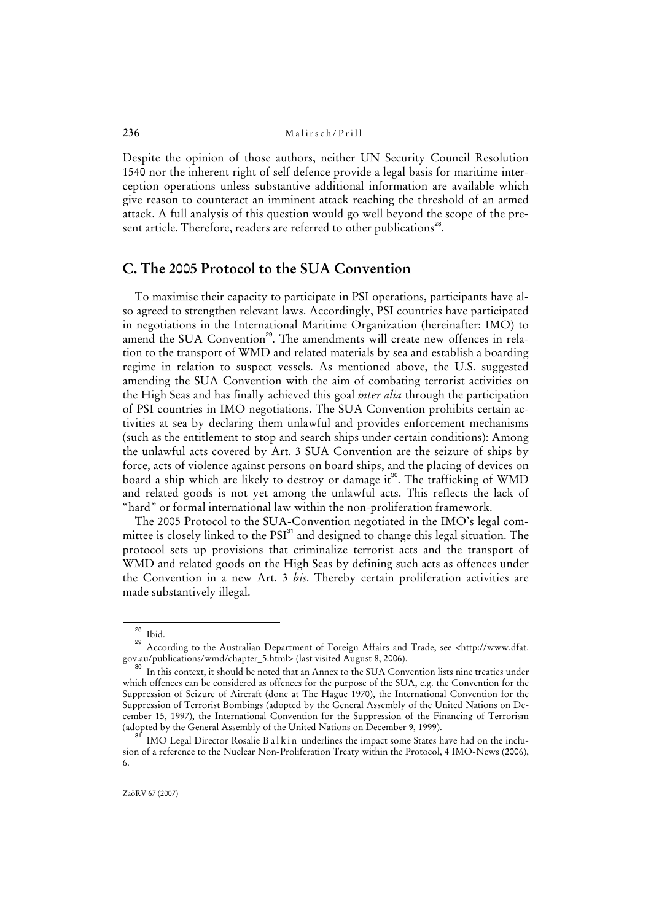Despite the opinion of those authors, neither UN Security Council Resolution 1540 nor the inherent right of self defence provide a legal basis for maritime interception operations unless substantive additional information are available which give reason to counteract an imminent attack reaching the threshold of an armed attack. A full analysis of this question would go well beyond the scope of the present article. Therefore, readers are referred to other publications<sup>28</sup>.

# **C. The 2005 Protocol to the SUA Convention**

To maximise their capacity to participate in PSI operations, participants have also agreed to strengthen relevant laws. Accordingly, PSI countries have participated in negotiations in the International Maritime Organization (hereinafter: IMO) to amend the SUA Convention<sup>29</sup>. The amendments will create new offences in relation to the transport of WMD and related materials by sea and establish a boarding regime in relation to suspect vessels. As mentioned above, the U.S. suggested amending the SUA Convention with the aim of combating terrorist activities on the High Seas and has finally achieved this goal *inter alia* through the participation of PSI countries in IMO negotiations. The SUA Convention prohibits certain activities at sea by declaring them unlawful and provides enforcement mechanisms (such as the entitlement to stop and search ships under certain conditions): Among the unlawful acts covered by Art. 3 SUA Convention are the seizure of ships by force, acts of violence against persons on board ships, and the placing of devices on board a ship which are likely to destroy or damage it<sup>30</sup>. The trafficking of WMD and related goods is not yet among the unlawful acts. This reflects the lack of "hard" or formal international law within the non-proliferation framework.

The 2005 Protocol to the SUA-Convention negotiated in the IMO's legal committee is closely linked to the PSI<sup>31</sup> and designed to change this legal situation. The protocol sets up provisions that criminalize terrorist acts and the transport of WMD and related goods on the High Seas by defining such acts as offences under the Convention in a new Art. 3 *bis*. Thereby certain proliferation activities are made substantively illegal.

 $\frac{28}{29}$  Ibid.

According to the Australian Department of Foreign Affairs and Trade, see <http://www.dfat. gov.au/publications/wmd/chapter\_5.html> (last visited August 8, 2006).

 $^{\text{30}}$  In this context, it should be noted that an Annex to the SUA Convention lists nine treaties under which offences can be considered as offences for the purpose of the SUA, e.g. the Convention for the Suppression of Seizure of Aircraft (done at The Hague 1970), the International Convention for the Suppression of Terrorist Bombings (adopted by the General Assembly of the United Nations on December 15, 1997), the International Convention for the Suppression of the Financing of Terrorism (adopted by the General Assembly of the United Nations on December 9, 1999).

IMO Legal Director Rosalie B a l k in underlines the impact some States have had on the inclusion of a reference to the Nuclear Non-Proliferation Treaty within the Protocol, 4 IMO-News (2006), 6.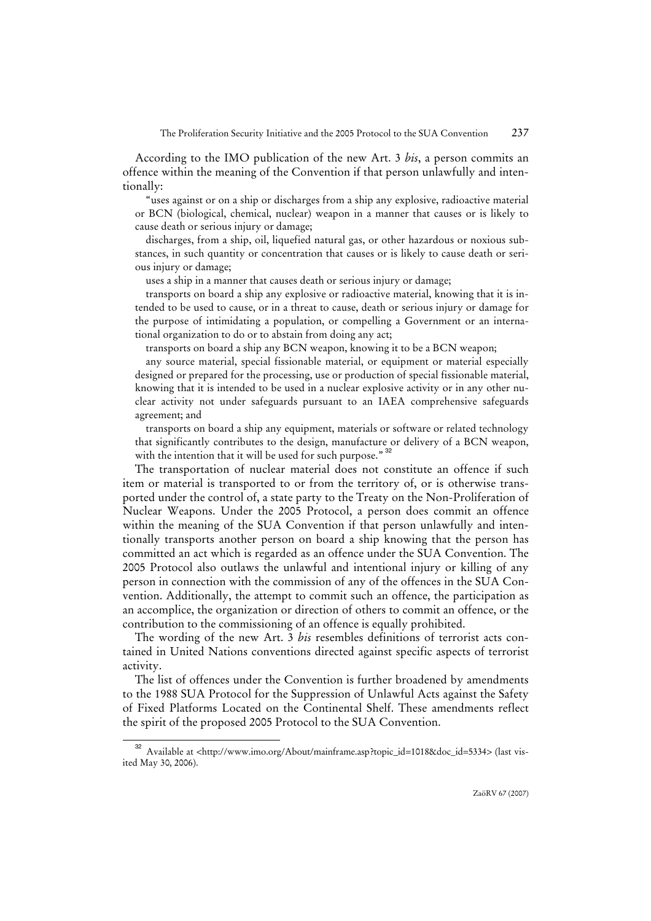According to the IMO publication of the new Art. 3 *bis*, a person commits an offence within the meaning of the Convention if that person unlawfully and intentionally:

"uses against or on a ship or discharges from a ship any explosive, radioactive material or BCN (biological, chemical, nuclear) weapon in a manner that causes or is likely to cause death or serious injury or damage;

discharges, from a ship, oil, liquefied natural gas, or other hazardous or noxious substances, in such quantity or concentration that causes or is likely to cause death or serious injury or damage;

uses a ship in a manner that causes death or serious injury or damage;

transports on board a ship any explosive or radioactive material, knowing that it is intended to be used to cause, or in a threat to cause, death or serious injury or damage for the purpose of intimidating a population, or compelling a Government or an international organization to do or to abstain from doing any act;

transports on board a ship any BCN weapon, knowing it to be a BCN weapon;

any source material, special fissionable material, or equipment or material especially designed or prepared for the processing, use or production of special fissionable material, knowing that it is intended to be used in a nuclear explosive activity or in any other nuclear activity not under safeguards pursuant to an IAEA comprehensive safeguards agreement; and

transports on board a ship any equipment, materials or software or related technology that significantly contributes to the design, manufacture or delivery of a BCN weapon, with the intention that it will be used for such purpose."<sup>32</sup>

The transportation of nuclear material does not constitute an offence if such item or material is transported to or from the territory of, or is otherwise transported under the control of, a state party to the Treaty on the Non-Proliferation of Nuclear Weapons. Under the 2005 Protocol, a person does commit an offence within the meaning of the SUA Convention if that person unlawfully and intentionally transports another person on board a ship knowing that the person has committed an act which is regarded as an offence under the SUA Convention. The 2005 Protocol also outlaws the unlawful and intentional injury or killing of any person in connection with the commission of any of the offences in the SUA Convention. Additionally, the attempt to commit such an offence, the participation as an accomplice, the organization or direction of others to commit an offence, or the contribution to the commissioning of an offence is equally prohibited.

The wording of the new Art. 3 *bis* resembles definitions of terrorist acts contained in United Nations conventions directed against specific aspects of terrorist activity.

The list of offences under the Convention is further broadened by amendments to the 1988 SUA Protocol for the Suppression of Unlawful Acts against the Safety of Fixed Platforms Located on the Continental Shelf. These amendments reflect the spirit of the proposed 2005 Protocol to the SUA Convention.

<sup>32</sup> Available at <http://www.imo.org/About/mainframe.asp?topic\_id=1018&doc\_id=5334> (last visited May 30, 2006).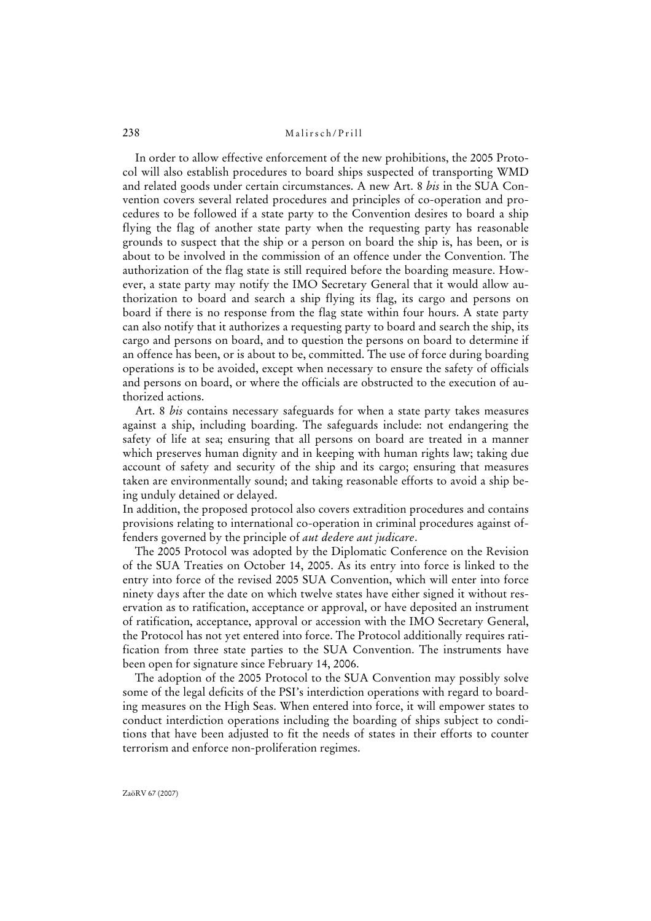In order to allow effective enforcement of the new prohibitions, the 2005 Protocol will also establish procedures to board ships suspected of transporting WMD and related goods under certain circumstances. A new Art. 8 *bis* in the SUA Convention covers several related procedures and principles of co-operation and procedures to be followed if a state party to the Convention desires to board a ship flying the flag of another state party when the requesting party has reasonable grounds to suspect that the ship or a person on board the ship is, has been, or is about to be involved in the commission of an offence under the Convention. The authorization of the flag state is still required before the boarding measure. However, a state party may notify the IMO Secretary General that it would allow authorization to board and search a ship flying its flag, its cargo and persons on board if there is no response from the flag state within four hours. A state party can also notify that it authorizes a requesting party to board and search the ship, its cargo and persons on board, and to question the persons on board to determine if an offence has been, or is about to be, committed. The use of force during boarding operations is to be avoided, except when necessary to ensure the safety of officials and persons on board, or where the officials are obstructed to the execution of authorized actions.

Art. 8 *bis* contains necessary safeguards for when a state party takes measures against a ship, including boarding. The safeguards include: not endangering the safety of life at sea; ensuring that all persons on board are treated in a manner which preserves human dignity and in keeping with human rights law; taking due account of safety and security of the ship and its cargo; ensuring that measures taken are environmentally sound; and taking reasonable efforts to avoid a ship being unduly detained or delayed.

In addition, the proposed protocol also covers extradition procedures and contains provisions relating to international co-operation in criminal procedures against offenders governed by the principle of *aut dedere aut judicare*.

The 2005 Protocol was adopted by the Diplomatic Conference on the Revision of the SUA Treaties on October 14, 2005. As its entry into force is linked to the entry into force of the revised 2005 SUA Convention, which will enter into force ninety days after the date on which twelve states have either signed it without reservation as to ratification, acceptance or approval, or have deposited an instrument of ratification, acceptance, approval or accession with the IMO Secretary General, the Protocol has not yet entered into force. The Protocol additionally requires ratification from three state parties to the SUA Convention. The instruments have been open for signature since February 14, 2006.

The adoption of the 2005 Protocol to the SUA Convention may possibly solve some of the legal deficits of the PSI's interdiction operations with regard to boarding measures on the High Seas. When entered into force, it will empower states to conduct interdiction operations including the boarding of ships subject to conditions that have been adjusted to fit the needs of states in their efforts to counter terrorism and enforce non-proliferation regimes.

ZaöRV 67 (2007)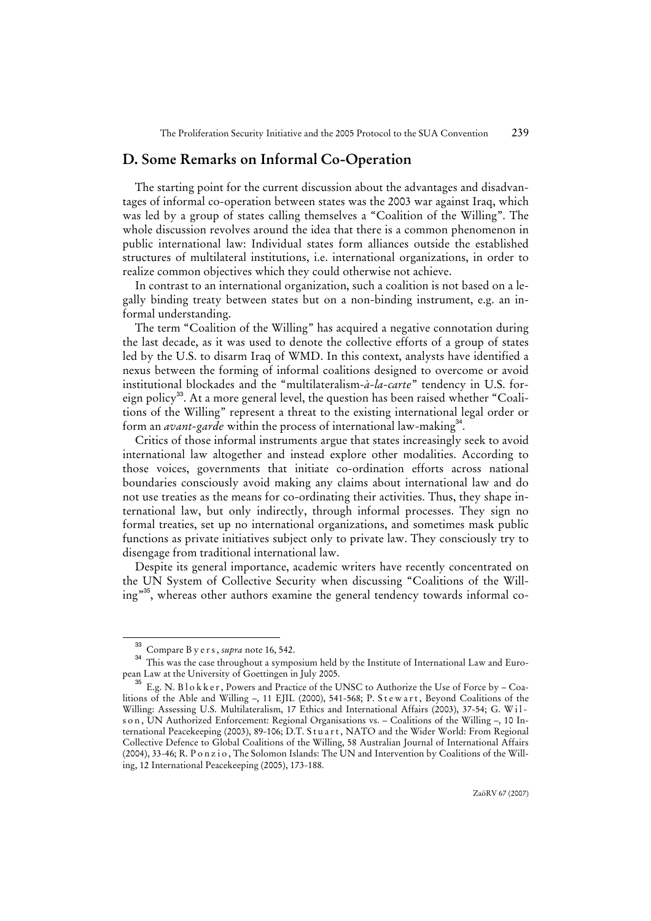# **D. Some Remarks on Informal Co-Operation**

The starting point for the current discussion about the advantages and disadvantages of informal co-operation between states was the 2003 war against Iraq, which was led by a group of states calling themselves a "Coalition of the Willing". The whole discussion revolves around the idea that there is a common phenomenon in public international law: Individual states form alliances outside the established structures of multilateral institutions, i.e. international organizations, in order to realize common objectives which they could otherwise not achieve.

In contrast to an international organization, such a coalition is not based on a legally binding treaty between states but on a non-binding instrument, e.g. an informal understanding.

The term "Coalition of the Willing" has acquired a negative connotation during the last decade, as it was used to denote the collective efforts of a group of states led by the U.S. to disarm Iraq of WMD. In this context, analysts have identified a nexus between the forming of informal coalitions designed to overcome or avoid institutional blockades and the "multilateralism-*à-la-carte*" tendency in U.S. foreign policy<sup>33</sup>. At a more general level, the question has been raised whether "Coalitions of the Willing" represent a threat to the existing international legal order or form an *avant-garde* within the process of international law-making<sup>34</sup>.

Critics of those informal instruments argue that states increasingly seek to avoid international law altogether and instead explore other modalities. According to those voices, governments that initiate co-ordination efforts across national boundaries consciously avoid making any claims about international law and do not use treaties as the means for co-ordinating their activities. Thus, they shape international law, but only indirectly, through informal processes. They sign no formal treaties, set up no international organizations, and sometimes mask public functions as private initiatives subject only to private law. They consciously try to disengage from traditional international law.

Despite its general importance, academic writers have recently concentrated on the UN System of Collective Security when discussing "Coalitions of the Willing"<sup>35</sup>, whereas other authors examine the general tendency towards informal co-

<sup>33</sup> Compare B y e r s , *supra* note 16, 542.

<sup>&</sup>lt;sup>34</sup> This was the case throughout a symposium held by the Institute of International Law and European Law at the University of Goettingen in July 2005.

E.g. N. B l o k k e r, Powers and Practice of the UNSC to Authorize the Use of Force by - Coalitions of the Able and Willing –, 11 EJIL (2000), 541-568; P. Stewart, Beyond Coalitions of the Willing: Assessing U.S. Multilateralism, 17 Ethics and International Affairs (2003), 37-54; G. Wils o n, UN Authorized Enforcement: Regional Organisations vs. – Coalitions of the Willing –, 10 International Peacekeeping (2003), 89-106; D.T. S t u a r t , NATO and the Wider World: From Regional Collective Defence to Global Coalitions of the Willing, 58 Australian Journal of International Affairs (2004), 33-46; R. P o n z i o , The Solomon Islands: The UN and Intervention by Coalitions of the Willing, 12 International Peacekeeping (2005), 173-188.